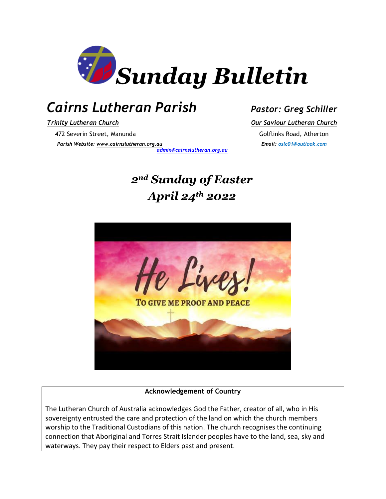

# *Cairns Lutheran Parish Pastor: Greg Schiller*

*Trinity Lutheran Church Our Saviour Lutheran Church* 472 Severin Street, Manunda Golflinks Road, Atherton *Parish Website: [www.cairnslutheran.org.au](about:blank) Email: oslc01@outlook.com*

*[admin@cairnslutheran.org.au](mailto:admin@cairnslutheran.org.au)*

# *2nd Sunday of Easter April 24th 2022*



#### **Acknowledgement of Country**

The Lutheran Church of Australia acknowledges God the Father, creator of all, who in His sovereignty entrusted the care and protection of the land on which the church members worship to the Traditional Custodians of this nation. The church recognises the continuing connection that Aboriginal and Torres Strait Islander peoples have to the land, sea, sky and waterways. They pay their respect to Elders past and present.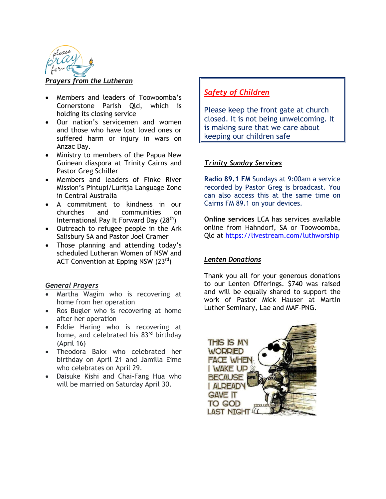

#### *Prayers from the Lutheran*

- Members and leaders of Toowoomba's Cornerstone Parish Qld, which is holding its closing service
- Our nation's servicemen and women and those who have lost loved ones or suffered harm or injury in wars on Anzac Day.
- Ministry to members of the Papua New Guinean diaspora at Trinity Cairns and Pastor Greg Schiller
- Members and leaders of Finke River Mission's Pintupi/Luritja Language Zone in Central Australia
- A commitment to kindness in our churches and communities on International Pay It Forward Day  $(28<sup>th</sup>)$
- Outreach to refugee people in the Ark Salisbury SA and Pastor Joel Cramer
- Those planning and attending today's scheduled Lutheran Women of NSW and ACT Convention at Epping NSW (23rd)

#### *General Prayers*

- Martha Wagim who is recovering at home from her operation
- Ros Bugler who is recovering at home after her operation
- Eddie Haring who is recovering at home, and celebrated his 83<sup>rd</sup> birthday (April 16)
- Theodora Bakx who celebrated her birthday on April 21 and Jamilla Eime who celebrates on April 29.
- Daisuke Kishi and Chai-Fang Hua who will be married on Saturday April 30.

### *Safety of Children*

Please keep the front gate at church closed. It is not being unwelcoming. It is making sure that we care about keeping our children safe

#### *Trinity Sunday Services*

**Radio 89.1 FM** Sundays at 9:00am a service recorded by Pastor Greg is broadcast. You can also access this at the same time on Cairns FM 89.1 on your devices.

**Online services** LCA has services available online from Hahndorf, SA or Toowoomba, Qld at<https://livestream.com/luthworship>

#### *Lenten Donations*

Thank you all for your generous donations to our Lenten Offerings. \$740 was raised and will be equally shared to support the work of Pastor Mick Hauser at Martin Luther Seminary, Lae and MAF-PNG.

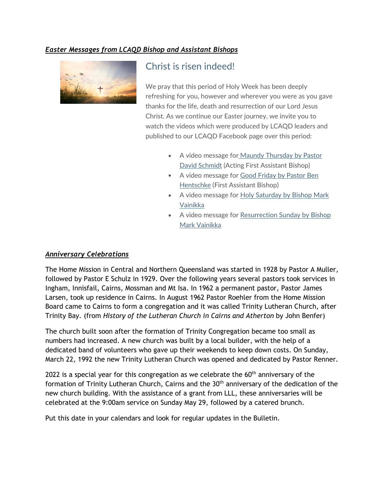#### *Easter Messages from LCAQD Bishop and Assistant Bishops*



## Christ is risen indeed!

We pray that this period of Holy Week has been deeply refreshing for you, however and wherever you were as you gave thanks for the life, death and resurrection of our Lord Jesus Christ. As we continue our Easter journey, we invite you to watch the videos which were produced by LCAQD leaders and published to our LCAQD Facebook page over this period:

- A video message for Maundy Thursday by Pastor [David Schmidt](https://lutheranchurchofaustralia.cmail20.com/t/t-l-qjkjyht-pujhkhjii-d/) (Acting First Assistant Bishop)
- A video message for [Good Friday by Pastor Ben](https://lutheranchurchofaustralia.cmail20.com/t/t-l-qjkjyht-pujhkhjii-h/)  [Hentschke](https://lutheranchurchofaustralia.cmail20.com/t/t-l-qjkjyht-pujhkhjii-h/) (First Assistant Bishop)
- A video message for [Holy Saturday by Bishop Mark](https://lutheranchurchofaustralia.cmail20.com/t/t-l-qjkjyht-pujhkhjii-k/)  [Vainikka](https://lutheranchurchofaustralia.cmail20.com/t/t-l-qjkjyht-pujhkhjii-k/)
- A video message for Resurrection Sunday by Bishop [Mark Vainikka](https://lutheranchurchofaustralia.cmail20.com/t/t-l-qjkjyht-pujhkhjii-u/)

#### *Anniversary Celebrations*

The Home Mission in Central and Northern Queensland was started in 1928 by Pastor A Muller, followed by Pastor E Schulz in 1929. Over the following years several pastors took services in Ingham, Innisfail, Cairns, Mossman and Mt Isa. In 1962 a permanent pastor, Pastor James Larsen, took up residence in Cairns. In August 1962 Pastor Roehler from the Home Mission Board came to Cairns to form a congregation and it was called Trinity Lutheran Church, after Trinity Bay. (from *History of the Lutheran Church in Cairns and Atherton* by John Benfer)

The church built soon after the formation of Trinity Congregation became too small as numbers had increased. A new church was built by a local builder, with the help of a dedicated band of volunteers who gave up their weekends to keep down costs. On Sunday, March 22, 1992 the new Trinity Lutheran Church was opened and dedicated by Pastor Renner.

2022 is a special year for this congregation as we celebrate the  $60<sup>th</sup>$  anniversary of the formation of Trinity Lutheran Church, Cairns and the 30<sup>th</sup> anniversary of the dedication of the new church building. With the assistance of a grant from LLL, these anniversaries will be celebrated at the 9:00am service on Sunday May 29, followed by a catered brunch.

Put this date in your calendars and look for regular updates in the Bulletin.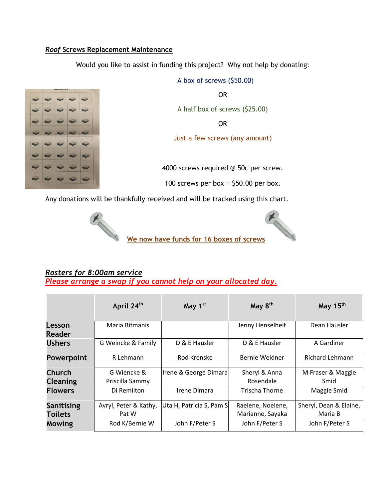#### *Roof* **Screws Replacement Maintenance**

Would you like to assist in funding this project? Why not help by donating:



A box of screws (\$50.00) OR A half box of screws (\$25.00) OR Just a few screws (any amount)

4000 screws required @ 50c per screw.

100 screws per box =  $$50.00$  per box.

Any donations will be thankfully received and will be tracked using this chart.





#### *Rosters for 8:00am service Please arrange a swap if you cannot help on your allocated day.*

|                         | April 24 <sup>th</sup> | May 1st                  | May 8 <sup>th</sup>   | May 15 <sup>th</sup>   |
|-------------------------|------------------------|--------------------------|-----------------------|------------------------|
| Lesson<br><b>Reader</b> | Maria Bitmanis         |                          | Jenny Henselheit      | Dean Hausler           |
| <b>Ushers</b>           | G Weincke & Family     | D & E Hausler            | D & E Hausler         | A Gardiner             |
| <b>Powerpoint</b>       | R Lehmann              | Rod Krenske              | Bernie Weidner        | <b>Richard Lehmann</b> |
| Church                  | G Wiencke &            | Irene & George Dimara    | Sheryl & Anna         | M Fraser & Maggie      |
| <b>Cleaning</b>         | Priscilla Sammy        |                          | Rosendale             | Smid                   |
| <b>Flowers</b>          | Di Remilton            | Irene Dimara             | <b>Trischa Thorne</b> | Maggie Smid            |
| Sanitising              | Avryl, Peter & Kathy,  | Uta H, Patricia S, Pam S | Raelene, Noelene,     | Sheryl, Dean & Elaine, |
| <b>Toilets</b>          | Pat W                  |                          | Marianne, Sayaka      | Maria B                |
| Mowing                  | Rod K/Bernie W         | John F/Peter S           | John F/Peter S        | John F/Peter S         |